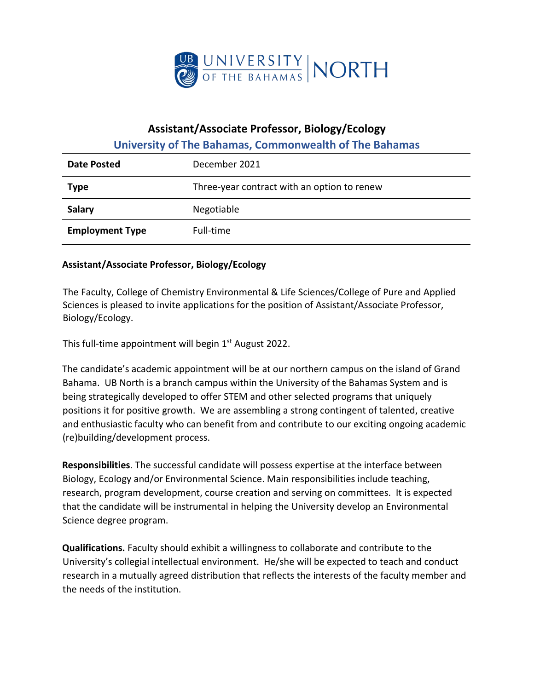

## **Assistant/Associate Professor, Biology/Ecology**

## **University of The Bahamas, Commonwealth of The Bahamas**

| Date Posted            | December 2021                               |
|------------------------|---------------------------------------------|
| <b>Type</b>            | Three-year contract with an option to renew |
| <b>Salary</b>          | Negotiable                                  |
| <b>Employment Type</b> | Full-time                                   |

## **Assistant/Associate Professor, Biology/Ecology**

The Faculty, College of Chemistry Environmental & Life Sciences/College of Pure and Applied Sciences is pleased to invite applications for the position of Assistant/Associate Professor, Biology/Ecology.

This full-time appointment will begin 1<sup>st</sup> August 2022.

The candidate's academic appointment will be at our northern campus on the island of Grand Bahama. UB North is a branch campus within the University of the Bahamas System and is being strategically developed to offer STEM and other selected programs that uniquely positions it for positive growth. We are assembling a strong contingent of talented, creative and enthusiastic faculty who can benefit from and contribute to our exciting ongoing academic (re)building/development process.

**Responsibilities**. The successful candidate will possess expertise at the interface between Biology, Ecology and/or Environmental Science. Main responsibilities include teaching, research, program development, course creation and serving on committees. It is expected that the candidate will be instrumental in helping the University develop an Environmental Science degree program.

**Qualifications.** Faculty should exhibit a willingness to collaborate and contribute to the University's collegial intellectual environment. He/she will be expected to teach and conduct research in a mutually agreed distribution that reflects the interests of the faculty member and the needs of the institution.